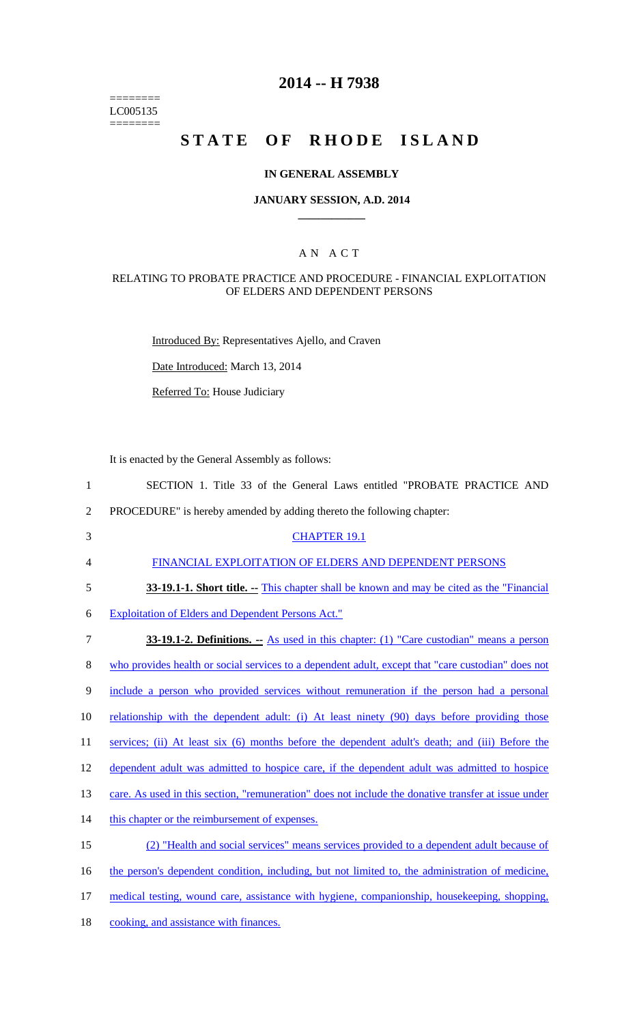======== LC005135 ========

## **2014 -- H 7938**

# STATE OF RHODE ISLAND

#### **IN GENERAL ASSEMBLY**

#### **JANUARY SESSION, A.D. 2014 \_\_\_\_\_\_\_\_\_\_\_\_**

## A N A C T

#### RELATING TO PROBATE PRACTICE AND PROCEDURE - FINANCIAL EXPLOITATION OF ELDERS AND DEPENDENT PERSONS

Introduced By: Representatives Ajello, and Craven

Date Introduced: March 13, 2014

Referred To: House Judiciary

It is enacted by the General Assembly as follows:

| SECTION 1. Title 33 of the General Laws entitled "PROBATE PRACTICE AND |  |  |  |  |  |  |  |  |  |  |  |
|------------------------------------------------------------------------|--|--|--|--|--|--|--|--|--|--|--|
|------------------------------------------------------------------------|--|--|--|--|--|--|--|--|--|--|--|

- 2 PROCEDURE" is hereby amended by adding thereto the following chapter:
- 3 CHAPTER 19.1

4 FINANCIAL EXPLOITATION OF ELDERS AND DEPENDENT PERSONS

5 **33-19.1-1. Short title.** -- This chapter shall be known and may be cited as the "Financial"

6 Exploitation of Elders and Dependent Persons Act."

7 **33-19.1-2. Definitions. --** As used in this chapter: (1) "Care custodian" means a person 8 who provides health or social services to a dependent adult, except that "care custodian" does not 9 include a person who provided services without remuneration if the person had a personal 10 relationship with the dependent adult: (i) At least ninety (90) days before providing those 11 services; (ii) At least six (6) months before the dependent adult's death; and (iii) Before the 12 dependent adult was admitted to hospice care, if the dependent adult was admitted to hospice 13 care. As used in this section, "remuneration" does not include the donative transfer at issue under 14 this chapter or the reimbursement of expenses. 15 (2) "Health and social services" means services provided to a dependent adult because of 16 the person's dependent condition, including, but not limited to, the administration of medicine, 17 medical testing, wound care, assistance with hygiene, companionship, housekeeping, shopping, 18 cooking, and assistance with finances.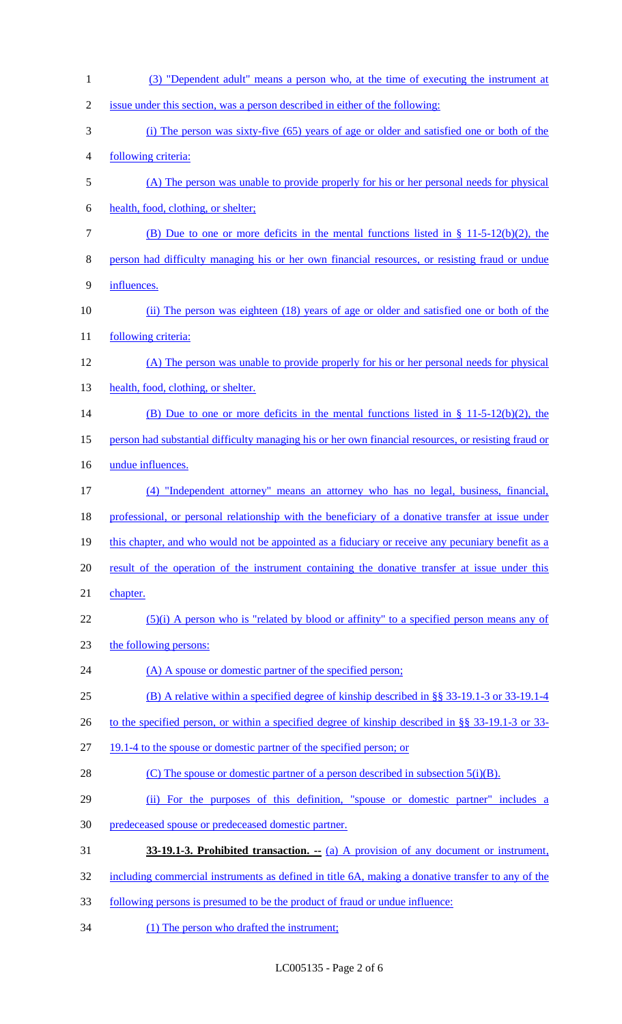| $\mathbf{1}$   | (3) "Dependent adult" means a person who, at the time of executing the instrument at                 |
|----------------|------------------------------------------------------------------------------------------------------|
| $\overline{2}$ | issue under this section, was a person described in either of the following:                         |
| 3              | (i) The person was sixty-five (65) years of age or older and satisfied one or both of the            |
| 4              | following criteria:                                                                                  |
| 5              | (A) The person was unable to provide properly for his or her personal needs for physical             |
| 6              | health, food, clothing, or shelter;                                                                  |
| 7              | (B) Due to one or more deficits in the mental functions listed in $\S$ 11-5-12(b)(2), the            |
| 8              | person had difficulty managing his or her own financial resources, or resisting fraud or undue       |
| 9              | influences.                                                                                          |
| 10             | (ii) The person was eighteen (18) years of age or older and satisfied one or both of the             |
| 11             | following criteria:                                                                                  |
| 12             | (A) The person was unable to provide properly for his or her personal needs for physical             |
| 13             | health, food, clothing, or shelter.                                                                  |
| 14             | (B) Due to one or more deficits in the mental functions listed in § 11-5-12(b)(2), the               |
| 15             | person had substantial difficulty managing his or her own financial resources, or resisting fraud or |
| 16             | undue influences.                                                                                    |
| 17             | (4) "Independent attorney" means an attorney who has no legal, business, financial,                  |
| 18             | professional, or personal relationship with the beneficiary of a donative transfer at issue under    |
| 19             | this chapter, and who would not be appointed as a fiduciary or receive any pecuniary benefit as a    |
| 20             | result of the operation of the instrument containing the donative transfer at issue under this       |
| 21             | chapter.                                                                                             |
| 22             | $(5)(i)$ A person who is "related by blood or affinity" to a specified person means any of           |
| 23             | the following persons:                                                                               |
| 24             | (A) A spouse or domestic partner of the specified person;                                            |
| 25             | (B) A relative within a specified degree of kinship described in §§ 33-19.1-3 or 33-19.1-4           |
| 26             | to the specified person, or within a specified degree of kinship described in §§ 33-19.1-3 or 33-    |
| 27             | 19.1-4 to the spouse or domestic partner of the specified person; or                                 |
| 28             | (C) The spouse or domestic partner of a person described in subsection $5(i)(B)$ .                   |
| 29             | (ii) For the purposes of this definition, "spouse or domestic partner" includes a                    |
| 30             | predeceased spouse or predeceased domestic partner.                                                  |
| 31             | <b>33-19.1-3. Prohibited transaction.</b> $\qquad$ (a) A provision of any document or instrument,    |
| 32             | including commercial instruments as defined in title 6A, making a donative transfer to any of the    |
| 33             | following persons is presumed to be the product of fraud or undue influence:                         |

(1) The person who drafted the instrument;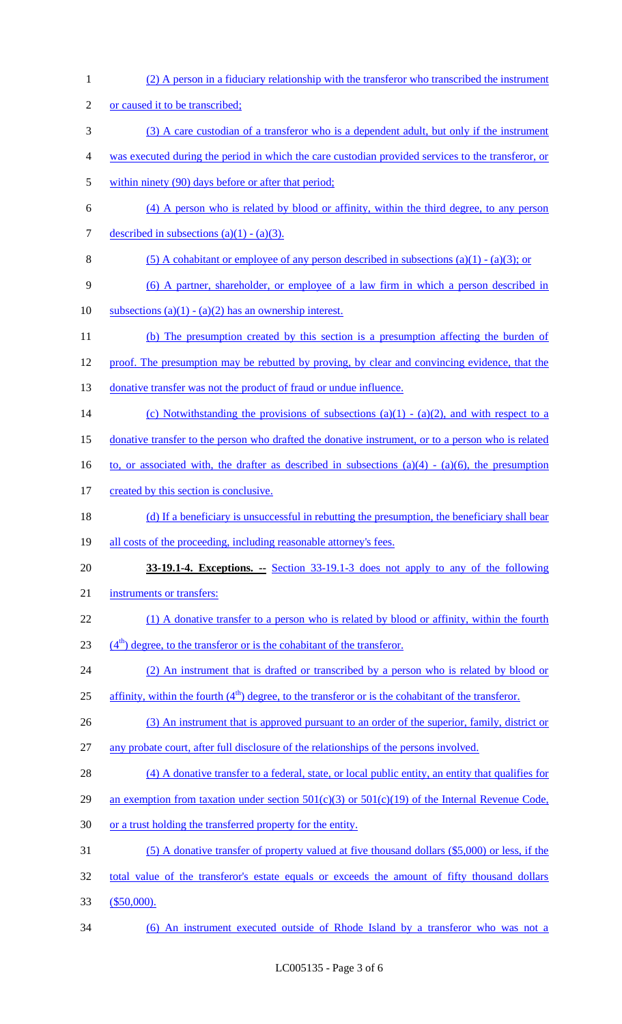1 (2) A person in a fiduciary relationship with the transferor who transcribed the instrument 2 or caused it to be transcribed; 3 (3) A care custodian of a transferor who is a dependent adult, but only if the instrument 4 was executed during the period in which the care custodian provided services to the transferor, or 5 within ninety (90) days before or after that period; 6 (4) A person who is related by blood or affinity, within the third degree, to any person 7 described in subsections  $(a)(1) - (a)(3)$ . 8 (5) A cohabitant or employee of any person described in subsections (a)(1) - (a)(3); or 9 (6) A partner, shareholder, or employee of a law firm in which a person described in 10 subsections  $(a)(1) - (a)(2)$  has an ownership interest. 11 (b) The presumption created by this section is a presumption affecting the burden of 12 proof. The presumption may be rebutted by proving, by clear and convincing evidence, that the 13 donative transfer was not the product of fraud or undue influence. 14 (c) Notwithstanding the provisions of subsections  $(a)(1) - (a)(2)$ , and with respect to a 15 donative transfer to the person who drafted the donative instrument, or to a person who is related 16 to, or associated with, the drafter as described in subsections  $(a)(4) - (a)(6)$ , the presumption 17 created by this section is conclusive. 18 (d) If a beneficiary is unsuccessful in rebutting the presumption, the beneficiary shall bear 19 all costs of the proceeding, including reasonable attorney's fees. 20 **33-19.1-4. Exceptions.** Section 33-19.1-3 does not apply to any of the following 21 instruments or transfers: 22 (1) A donative transfer to a person who is related by blood or affinity, within the fourth  $(4<sup>th</sup>)$  degree, to the transferor or is the cohabitant of the transferor. 24 (2) An instrument that is drafted or transcribed by a person who is related by blood or 25 affinity, within the fourth  $(4<sup>th</sup>)$  degree, to the transferor or is the cohabitant of the transferor. 26 (3) An instrument that is approved pursuant to an order of the superior, family, district or 27 any probate court, after full disclosure of the relationships of the persons involved. 28 (4) A donative transfer to a federal, state, or local public entity, an entity that qualifies for 29 an exemption from taxation under section  $501(c)(3)$  or  $501(c)(19)$  of the Internal Revenue Code, 30 or a trust holding the transferred property for the entity. 31 (5) A donative transfer of property valued at five thousand dollars (\$5,000) or less, if the 32 total value of the transferor's estate equals or exceeds the amount of fifty thousand dollars 33 (\$50,000). 34 (6) An instrument executed outside of Rhode Island by a transferor who was not a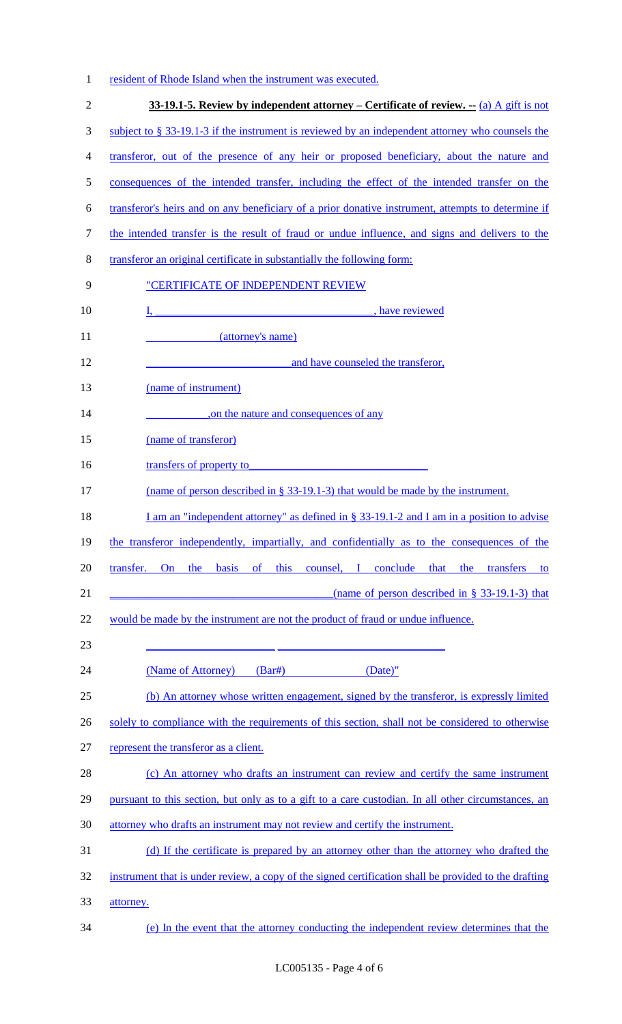|  |  |  | resident of Rhode Island when the instrument was executed. |  |
|--|--|--|------------------------------------------------------------|--|
|  |  |  |                                                            |  |

|           | 33-19.1-5. Review by independent attorney – Certificate of review. -- (a) A gift is not               |
|-----------|-------------------------------------------------------------------------------------------------------|
|           | subject to $\S$ 33-19.1-3 if the instrument is reviewed by an independent attorney who counsels the   |
|           | transferor, out of the presence of any heir or proposed beneficiary, about the nature and             |
|           | consequences of the intended transfer, including the effect of the intended transfer on the           |
|           | transferor's heirs and on any beneficiary of a prior donative instrument, attempts to determine if    |
|           | the intended transfer is the result of fraud or undue influence, and signs and delivers to the        |
|           | transferor an original certificate in substantially the following form:                               |
|           | "CERTIFICATE OF INDEPENDENT REVIEW                                                                    |
|           | I, have reviewed                                                                                      |
|           | (attorney's name)                                                                                     |
|           | and have counseled the transferor,                                                                    |
|           | (name of instrument)                                                                                  |
|           | on the nature and consequences of any                                                                 |
|           | (name of transferor)                                                                                  |
|           | transfers of property to                                                                              |
|           | (name of person described in $\S$ 33-19.1-3) that would be made by the instrument.                    |
|           | I am an "independent attorney" as defined in $\S$ 33-19.1-2 and I am in a position to advise          |
|           | the transferor independently, impartially, and confidentially as to the consequences of the           |
| transfer. | this counsel, I conclude that the transfers<br>basis of<br>On the<br>to                               |
|           | (name of person described in $\S$ 33-19.1-3) that                                                     |
|           | would be made by the instrument are not the product of fraud or undue influence.                      |
|           | (Name of Attorney)<br>$(Bar\#)$<br>$(Date)$ "                                                         |
|           | (b) An attorney whose written engagement, signed by the transferor, is expressly limited              |
|           | solely to compliance with the requirements of this section, shall not be considered to otherwise      |
|           | represent the transferor as a client.                                                                 |
|           | (c) An attorney who drafts an instrument can review and certify the same instrument                   |
|           | pursuant to this section, but only as to a gift to a care custodian. In all other circumstances, an   |
|           | attorney who drafts an instrument may not review and certify the instrument.                          |
|           | (d) If the certificate is prepared by an attorney other than the attorney who drafted the             |
|           | instrument that is under review, a copy of the signed certification shall be provided to the drafting |
| attorney. |                                                                                                       |
|           | (e) In the event that the attorney conducting the independent review determines that the              |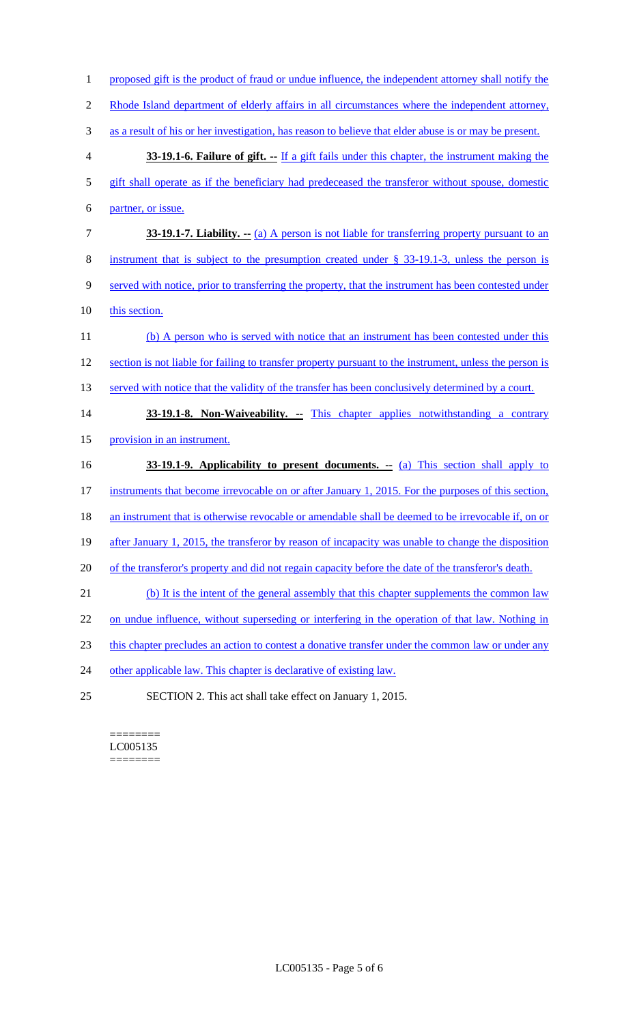- 1 proposed gift is the product of fraud or undue influence, the independent attorney shall notify the
- 2 Rhode Island department of elderly affairs in all circumstances where the independent attorney,
- 3 as a result of his or her investigation, has reason to believe that elder abuse is or may be present.
- 4 **33-19.1-6. Failure of gift. --** If a gift fails under this chapter, the instrument making the
- 5 gift shall operate as if the beneficiary had predeceased the transferor without spouse, domestic
- 6 partner, or issue.
- 7 **33-19.1-7. Liability. --** (a) A person is not liable for transferring property pursuant to an
- 8 instrument that is subject to the presumption created under § 33-19.1-3, unless the person is
- 9 served with notice, prior to transferring the property, that the instrument has been contested under
- 10 this section.
- 11 (b) A person who is served with notice that an instrument has been contested under this 12 section is not liable for failing to transfer property pursuant to the instrument, unless the person is 13 served with notice that the validity of the transfer has been conclusively determined by a court.
- 14 **33-19.1-8. Non-Waiveability.** -- This chapter applies notwithstanding a contrary 15 provision in an instrument.
- 16 **33-19.1-9. Applicability to present documents.** -- (a) This section shall apply to
- 17 instruments that become irrevocable on or after January 1, 2015. For the purposes of this section,
- 18 an instrument that is otherwise revocable or amendable shall be deemed to be irrevocable if, on or
- 19 after January 1, 2015, the transferor by reason of incapacity was unable to change the disposition
- 20 of the transferor's property and did not regain capacity before the date of the transferor's death.
- 21 (b) It is the intent of the general assembly that this chapter supplements the common law
- 22 on undue influence, without superseding or interfering in the operation of that law. Nothing in
- 23 this chapter precludes an action to contest a donative transfer under the common law or under any
- 24 other applicable law. This chapter is declarative of existing law.
- 25 SECTION 2. This act shall take effect on January 1, 2015.

======== LC005135 ========